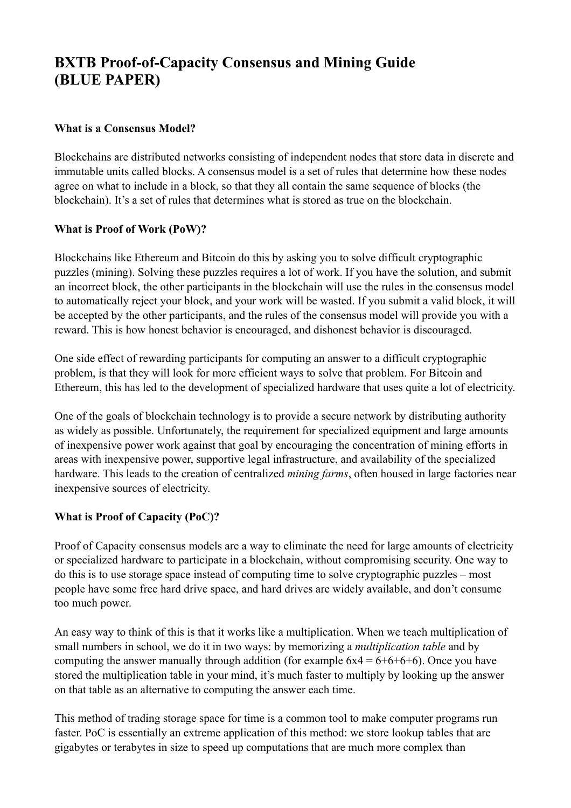# **BXTB Proof-of-Capacity Consensus and Mining Guide (BLUE PAPER)**

## **What is a Consensus Model?**

Blockchains are distributed networks consisting of independent nodes that store data in discrete and immutable units called blocks. A consensus model is a set of rules that determine how these nodes agree on what to include in a block, so that they all contain the same sequence of blocks (the blockchain). It's a set of rules that determines what is stored as true on the blockchain.

## **What is Proof of Work (PoW)?**

Blockchains like Ethereum and Bitcoin do this by asking you to solve difficult cryptographic puzzles (mining). Solving these puzzles requires a lot of work. If you have the solution, and submit an incorrect block, the other participants in the blockchain will use the rules in the consensus model to automatically reject your block, and your work will be wasted. If you submit a valid block, it will be accepted by the other participants, and the rules of the consensus model will provide you with a reward. This is how honest behavior is encouraged, and dishonest behavior is discouraged.

One side effect of rewarding participants for computing an answer to a difficult cryptographic problem, is that they will look for more efficient ways to solve that problem. For Bitcoin and Ethereum, this has led to the development of specialized hardware that uses quite a lot of electricity.

One of the goals of blockchain technology is to provide a secure network by distributing authority as widely as possible. Unfortunately, the requirement for specialized equipment and large amounts of inexpensive power work against that goal by encouraging the concentration of mining efforts in areas with inexpensive power, supportive legal infrastructure, and availability of the specialized hardware. This leads to the creation of centralized *mining farms*, often housed in large factories near inexpensive sources of electricity.

## **What is Proof of Capacity (PoC)?**

Proof of Capacity consensus models are a way to eliminate the need for large amounts of electricity or specialized hardware to participate in a blockchain, without compromising security. One way to do this is to use storage space instead of computing time to solve cryptographic puzzles – most people have some free hard drive space, and hard drives are widely available, and don't consume too much power.

An easy way to think of this is that it works like a multiplication. When we teach multiplication of small numbers in school, we do it in two ways: by memorizing a *multiplication table* and by computing the answer manually through addition (for example  $6x4 = 6+6+6+6$ ). Once you have stored the multiplication table in your mind, it's much faster to multiply by looking up the answer on that table as an alternative to computing the answer each time.

This method of trading storage space for time is a common tool to make computer programs run faster. PoC is essentially an extreme application of this method: we store lookup tables that are gigabytes or terabytes in size to speed up computations that are much more complex than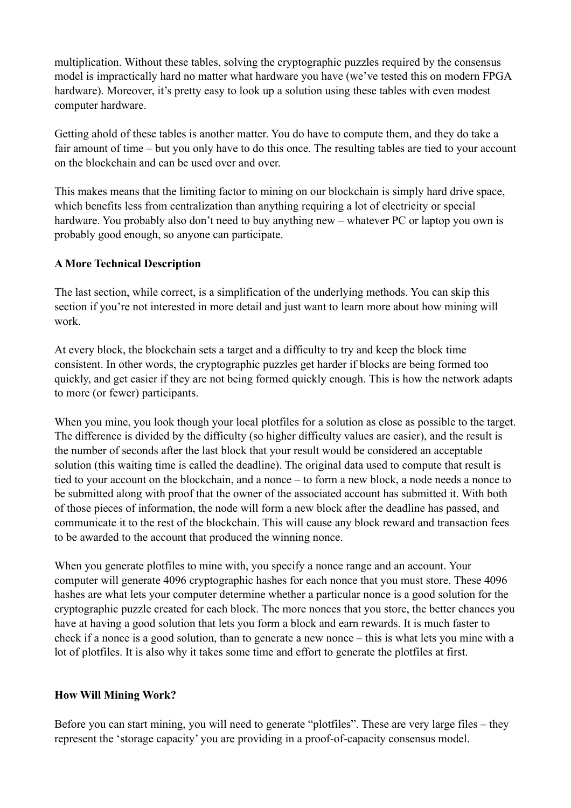multiplication. Without these tables, solving the cryptographic puzzles required by the consensus model is impractically hard no matter what hardware you have (we've tested this on modern FPGA hardware). Moreover, it's pretty easy to look up a solution using these tables with even modest computer hardware.

Getting ahold of these tables is another matter. You do have to compute them, and they do take a fair amount of time – but you only have to do this once. The resulting tables are tied to your account on the blockchain and can be used over and over.

This makes means that the limiting factor to mining on our blockchain is simply hard drive space, which benefits less from centralization than anything requiring a lot of electricity or special hardware. You probably also don't need to buy anything new – whatever PC or laptop you own is probably good enough, so anyone can participate.

## **A More Technical Description**

The last section, while correct, is a simplification of the underlying methods. You can skip this section if you're not interested in more detail and just want to learn more about how mining will work.

At every block, the blockchain sets a target and a difficulty to try and keep the block time consistent. In other words, the cryptographic puzzles get harder if blocks are being formed too quickly, and get easier if they are not being formed quickly enough. This is how the network adapts to more (or fewer) participants.

When you mine, you look though your local plotfiles for a solution as close as possible to the target. The difference is divided by the difficulty (so higher difficulty values are easier), and the result is the number of seconds after the last block that your result would be considered an acceptable solution (this waiting time is called the deadline). The original data used to compute that result is tied to your account on the blockchain, and a nonce – to form a new block, a node needs a nonce to be submitted along with proof that the owner of the associated account has submitted it. With both of those pieces of information, the node will form a new block after the deadline has passed, and communicate it to the rest of the blockchain. This will cause any block reward and transaction fees to be awarded to the account that produced the winning nonce.

When you generate plotfiles to mine with, you specify a nonce range and an account. Your computer will generate 4096 cryptographic hashes for each nonce that you must store. These 4096 hashes are what lets your computer determine whether a particular nonce is a good solution for the cryptographic puzzle created for each block. The more nonces that you store, the better chances you have at having a good solution that lets you form a block and earn rewards. It is much faster to check if a nonce is a good solution, than to generate a new nonce – this is what lets you mine with a lot of plotfiles. It is also why it takes some time and effort to generate the plotfiles at first.

### **How Will Mining Work?**

Before you can start mining, you will need to generate "plotfiles". These are very large files – they represent the 'storage capacity' you are providing in a proof-of-capacity consensus model.